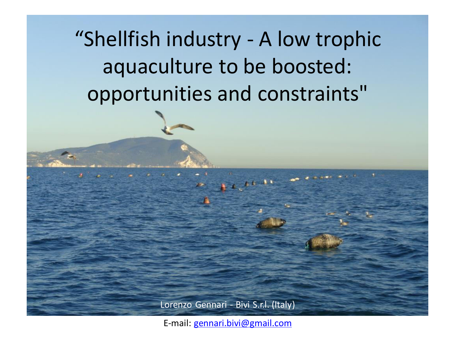"Shellfish industry - A low trophic aquaculture to be boosted: opportunities and constraints"

Lorenzo Gennari - Bivi S.r.l. (Italy)

E-mail: [gennari.bivi@gmail.com](mailto:gennari.bivi@gmail.com)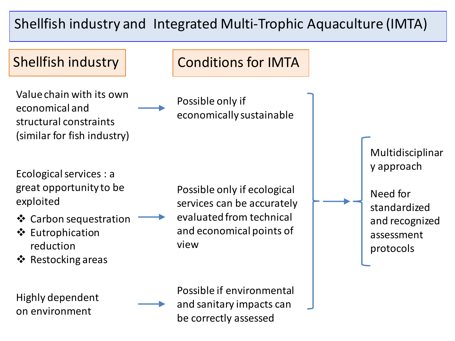# Shellfish industry and Integrated Multi-Trophic Aquaculture (IMTA)



Value chain with its own economical and structural constraints (similar for fish industry)

Ecological services : a great opportunity to be exploited

- ❖ Carbon sequestration
- ❖ Eutrophication reduction
- ❖ Restocking areas

Highly dependent on environment

Shellfish industry **Conditions for IMTA** 

Possible only if economically sustainable

Possible only if ecological services can be accurately evaluated from technical and economical points of view

Multidisciplinar y approach Need for standardized and recognized assessment protocols

Possible if environmental and sanitary impacts can be correctly assessed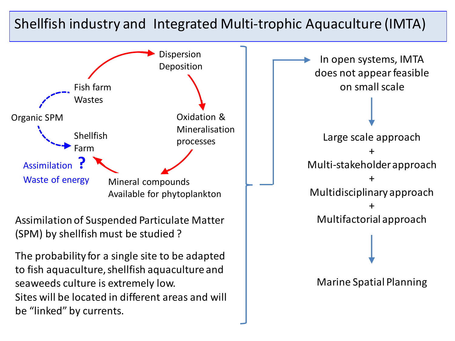#### Shellfish industry and Integrated Multi-trophic Aquaculture (IMTA)



Assimilation of Suspended Particulate Matter (SPM) by shellfish must be studied ?

The probability for a single site to be adapted to fish aquaculture, shellfish aquaculture and seaweeds culture is extremely low. Sites will be located in different areas and will be "linked" by currents.

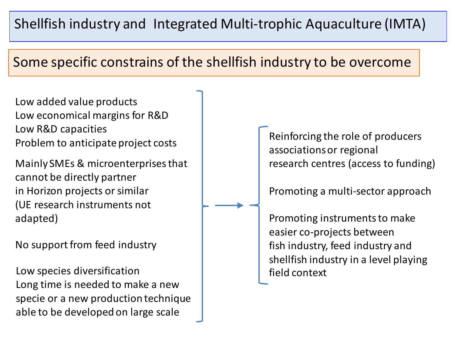# Shellfish industry and Integrated Multi-trophic Aquaculture (IMTA)

### Some specific constrains of the shellfish industry to be overcome

Low added value products Low economical margins for R&D Low R&D capacities Problem to anticipate project costs

Mainly SMEs & microenterprises that cannot be directly partner in Horizon projects or similar (UE research instruments not adapted)

No support from feed industry

Low species diversification **field** field context Long time is needed to make a new specie or a new production technique able to be developed on large scale

Reinforcing the role of producers associations or regional research centres (access to funding)

Promoting a multi-sector approach

Promoting instruments to make easier co-projects between fish industry, feed industry and shellfish industry in a level playing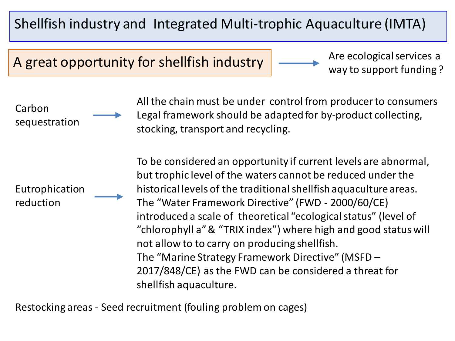# Shellfish industry and Integrated Multi-trophic Aquaculture (IMTA)

A great opportunity for shellfish industry

Are ecological services a way to support funding ?

All the chain must be under control from producer to consumers Legal framework should be adapted for by-product collecting, stocking, transport and recycling.

Eutrophication reduction

Carbon

sequestration

To be considered an opportunity if current levels are abnormal, but trophic level of the waters cannot be reduced under the historical levels of the traditional shellfish aquaculture areas. The "Water Framework Directive" (FWD - 2000/60/CE) introduced a scale of theoretical "ecological status" (level of "chlorophyll a" & "TRIX index") where high and good status will not allow to to carry on producing shellfish. The "Marine Strategy Framework Directive" (MSFD – 2017/848/CE) as the FWD can be considered a threat for shellfish aquaculture.

Restocking areas - Seed recruitment (fouling problem on cages)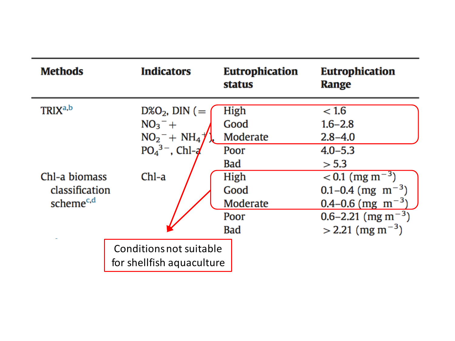| <b>Methods</b>        | <b>Indicators</b>         | <b>Eutrophication</b><br>status | <b>Eutrophication</b><br>Range |
|-----------------------|---------------------------|---------------------------------|--------------------------------|
| TRIX <sup>a,b</sup>   | $D\&O_2$ , DIN (=         | High                            | < 1.6                          |
|                       | $NO3- +$                  | Good                            | $1.6 - 2.8$                    |
|                       | $NO_2^- + NH_4^-$         | Moderate                        | $2.8 - 4.0$                    |
|                       | $PO43-$ , Chl- $d$        | Poor                            | $4.0 - 5.3$                    |
|                       |                           | Bad                             | > 5.3                          |
| Chl-a biomass         | $Chl-a$                   | High                            | $< 0.1$ (mg m <sup>-3</sup> )  |
| classification        |                           | Good                            | 0.1–0.4 (mg $\rm{m^{-3}}$ )    |
| scheme <sup>c,d</sup> |                           | Moderate                        | 0.4–0.6 (mg $\rm{m^{-3}}$ )    |
|                       |                           | Poor                            | 0.6–2.21 (mg m <sup>-3</sup> ) |
|                       |                           | <b>Bad</b>                      | $>$ 2.21 (mg m <sup>-3</sup> ) |
|                       | Conditions not suitable   |                                 |                                |
|                       | for shellfish aquaculture |                                 |                                |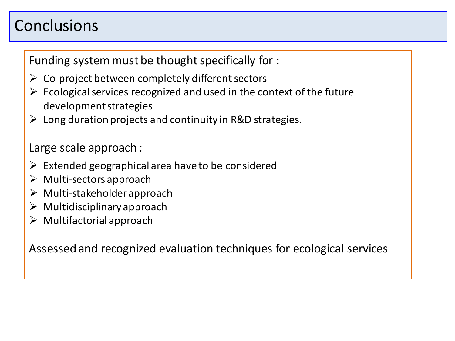# Conclusions

Funding system must be thought specifically for :

- $\triangleright$  Co-project between completely different sectors
- $\triangleright$  Ecological services recognized and used in the context of the future development strategies
- $\triangleright$  Long duration projects and continuity in R&D strategies.

#### Large scale approach :

- $\triangleright$  Extended geographical area have to be considered
- $\triangleright$  Multi-sectors approach
- $\triangleright$  Multi-stakeholder approach
- $\triangleright$  Multidisciplinary approach
- $\triangleright$  Multifactorial approach

Assessed and recognized evaluation techniques for ecological services